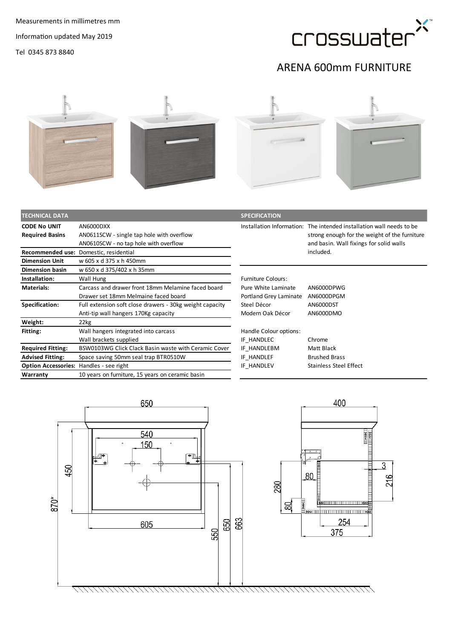

## ARENA 600mm FURNITURE



| <b>TECHNICAL DATA</b>                          |                                                                                                  | <b>SPECIFICATION</b>                          |                                                                                                                                                                  |
|------------------------------------------------|--------------------------------------------------------------------------------------------------|-----------------------------------------------|------------------------------------------------------------------------------------------------------------------------------------------------------------------|
| <b>CODE No UNIT</b><br><b>Required Basins</b>  | AN6000DXX<br>AN0611SCW - single tap hole with overflow<br>AN0610SCW - no tap hole with overflow  |                                               | Installation Information: The intended installation wall needs to be<br>strong enough for the weight of the furniture<br>and basin. Wall fixings for solid walls |
|                                                | Recommended use: Domestic, residential                                                           |                                               | included.                                                                                                                                                        |
| <b>Dimension Unit</b>                          | w 605 x d 375 x h 450mm                                                                          |                                               |                                                                                                                                                                  |
| <b>Dimension basin</b>                         | w 650 x d 375/402 x h 35mm                                                                       |                                               |                                                                                                                                                                  |
| Installation:                                  | Wall Hung                                                                                        | <b>Furniture Colours:</b>                     |                                                                                                                                                                  |
| <b>Materials:</b>                              | Carcass and drawer front 18mm Melamine faced board<br>Drawer set 18mm Melmaine faced board       | Pure White Laminate<br>Portland Grey Laminate | AN6000DPWG<br>AN6000DPGM                                                                                                                                         |
| Specification:                                 | Full extension soft close drawers - 30kg weight capacity<br>Anti-tip wall hangers 170Kg capacity | Steel Décor<br>Modern Oak Décor               | AN6000DST<br>AN6000DMO                                                                                                                                           |
| Weight:                                        | 22kg                                                                                             |                                               |                                                                                                                                                                  |
| Fitting:                                       | Wall hangers integrated into carcass<br>Wall brackets supplied                                   | Handle Colour options:<br>IF HANDLEC          | Chrome                                                                                                                                                           |
| <b>Required Fitting:</b>                       | BSW0103WG Click Clack Basin waste with Ceramic Cover                                             | IF HANDLEBM                                   | Matt Black                                                                                                                                                       |
| <b>Advised Fitting:</b>                        | Space saving 50mm seal trap BTR0510W                                                             | IF HANDLEF                                    | <b>Brushed Brass</b>                                                                                                                                             |
| <b>Option Accessories: Handles - see right</b> |                                                                                                  | IF HANDLEV                                    | <b>Stainless Steel Effect</b>                                                                                                                                    |
| Warranty                                       | 10 years on furniture, 15 years on ceramic basin                                                 |                                               |                                                                                                                                                                  |